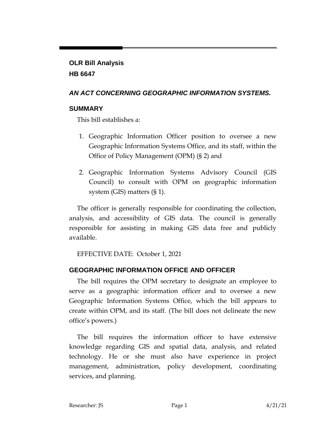# **OLR Bill Analysis HB 6647**

## *AN ACT CONCERNING GEOGRAPHIC INFORMATION SYSTEMS.*

### **SUMMARY**

This bill establishes a:

- 1. Geographic Information Officer position to oversee a new Geographic Information Systems Office, and its staff, within the Office of Policy Management (OPM) (§ 2) and
- 2. Geographic Information Systems Advisory Council (GIS Council) to consult with OPM on geographic information system (GIS) matters (§ 1).

The officer is generally responsible for coordinating the collection, analysis, and accessibility of GIS data. The council is generally responsible for assisting in making GIS data free and publicly available.

EFFECTIVE DATE: October 1, 2021

# **GEOGRAPHIC INFORMATION OFFICE AND OFFICER**

The bill requires the OPM secretary to designate an employee to serve as a geographic information officer and to oversee a new Geographic Information Systems Office, which the bill appears to create within OPM, and its staff. (The bill does not delineate the new office's powers.)

The bill requires the information officer to have extensive knowledge regarding GIS and spatial data, analysis, and related technology. He or she must also have experience in project management, administration, policy development, coordinating services, and planning.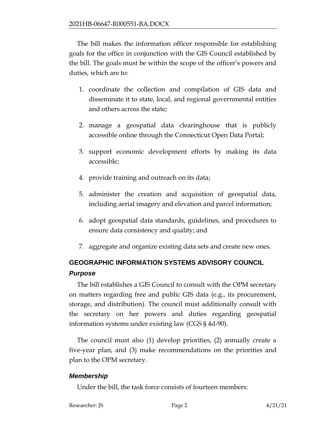The bill makes the information officer responsible for establishing goals for the office in conjunction with the GIS Council established by the bill. The goals must be within the scope of the officer's powers and duties, which are to:

- 1. coordinate the collection and compilation of GIS data and disseminate it to state, local, and regional governmental entities and others across the state;
- 2. manage a geospatial data clearinghouse that is publicly accessible online through the Connecticut Open Data Portal;
- 3. support economic development efforts by making its data accessible;
- 4. provide training and outreach on its data;
- 5. administer the creation and acquisition of geospatial data, including aerial imagery and elevation and parcel information;
- 6. adopt geospatial data standards, guidelines, and procedures to ensure data consistency and quality; and
- 7. aggregate and organize existing data sets and create new ones.

# **GEOGRAPHIC INFORMATION SYSTEMS ADVISORY COUNCIL**  *Purpose*

The bill establishes a GIS Council to consult with the OPM secretary on matters regarding free and public GIS data (e.g., its procurement, storage, and distribution). The council must additionally consult with the secretary on her powers and duties regarding geospatial information systems under existing law (CGS § 4d-90).

The council must also (1) develop priorities, (2) annually create a five-year plan, and (3) make recommendations on the priorities and plan to the OPM secretary.

#### *Membership*

Under the bill, the task force consists of fourteen members: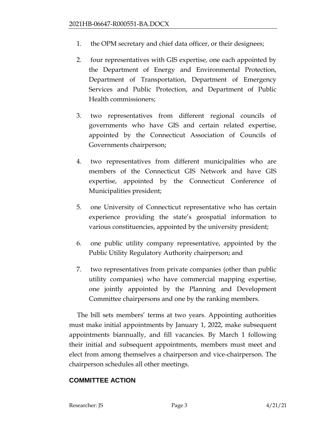- 1. the OPM secretary and chief data officer, or their designees;
- 2. four representatives with GIS expertise, one each appointed by the Department of Energy and Environmental Protection, Department of Transportation, Department of Emergency Services and Public Protection, and Department of Public Health commissioners;
- 3. two representatives from different regional councils of governments who have GIS and certain related expertise, appointed by the Connecticut Association of Councils of Governments chairperson;
- 4. two representatives from different municipalities who are members of the Connecticut GIS Network and have GIS expertise, appointed by the Connecticut Conference of Municipalities president;
- 5. one University of Connecticut representative who has certain experience providing the state's geospatial information to various constituencies, appointed by the university president;
- 6. one public utility company representative, appointed by the Public Utility Regulatory Authority chairperson; and
- 7. two representatives from private companies (other than public utility companies) who have commercial mapping expertise, one jointly appointed by the Planning and Development Committee chairpersons and one by the ranking members.

The bill sets members' terms at two years. Appointing authorities must make initial appointments by January 1, 2022, make subsequent appointments biannually, and fill vacancies. By March 1 following their initial and subsequent appointments, members must meet and elect from among themselves a chairperson and vice-chairperson. The chairperson schedules all other meetings.

#### **COMMITTEE ACTION**